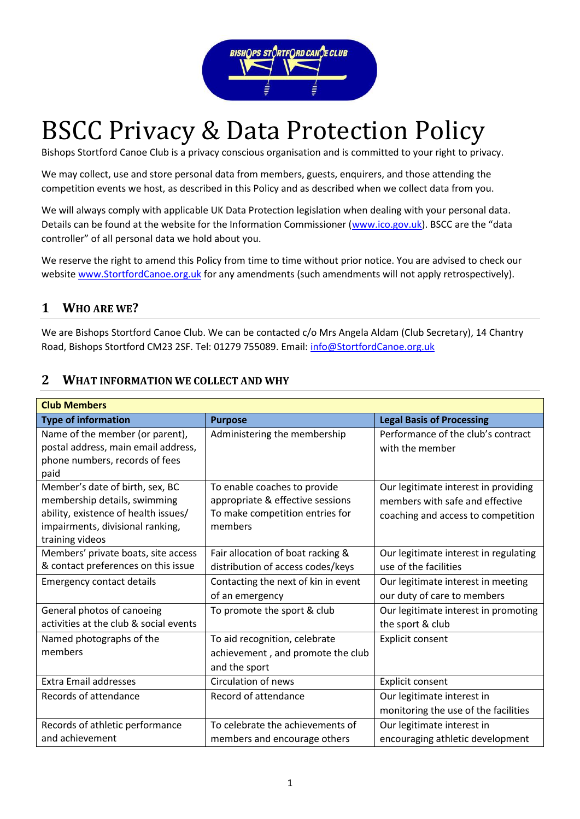

# BSCC Privacy & Data Protection Policy

Bishops Stortford Canoe Club is a privacy conscious organisation and is committed to your right to privacy.

We may collect, use and store personal data from members, guests, enquirers, and those attending the competition events we host, as described in this Policy and as described when we collect data from you.

We will always comply with applicable UK Data Protection legislation when dealing with your personal data. Details can be found at the website for the Information Commissioner [\(www.ico.gov.uk\)](http://www.ico.gov.uk/). BSCC are the "data controller" of all personal data we hold about you.

We reserve the right to amend this Policy from time to time without prior notice. You are advised to check our website [www.StortfordCanoe.org.uk](http://www.stortfordcanoe.org.uk/) for any amendments (such amendments will not apply retrospectively).

# **1 WHO ARE WE?**

We are Bishops Stortford Canoe Club. We can be contacted c/o Mrs Angela Aldam (Club Secretary), 14 Chantry Road, Bishops Stortford CM23 2SF. Tel: 01279 755089. Email[: info@StortfordCanoe.org.uk](mailto:info@StortfordCanoe.org.uk)

| <b>Club Members</b>                                                                                                                                            |                                                                                                                |                                                                                                               |  |  |
|----------------------------------------------------------------------------------------------------------------------------------------------------------------|----------------------------------------------------------------------------------------------------------------|---------------------------------------------------------------------------------------------------------------|--|--|
| <b>Type of information</b>                                                                                                                                     | <b>Purpose</b>                                                                                                 | <b>Legal Basis of Processing</b>                                                                              |  |  |
| Name of the member (or parent),<br>postal address, main email address,<br>phone numbers, records of fees<br>paid                                               | Administering the membership                                                                                   | Performance of the club's contract<br>with the member                                                         |  |  |
| Member's date of birth, sex, BC<br>membership details, swimming<br>ability, existence of health issues/<br>impairments, divisional ranking,<br>training videos | To enable coaches to provide<br>appropriate & effective sessions<br>To make competition entries for<br>members | Our legitimate interest in providing<br>members with safe and effective<br>coaching and access to competition |  |  |
| Members' private boats, site access<br>& contact preferences on this issue                                                                                     | Fair allocation of boat racking &<br>distribution of access codes/keys                                         | Our legitimate interest in regulating<br>use of the facilities                                                |  |  |
| <b>Emergency contact details</b>                                                                                                                               | Contacting the next of kin in event<br>of an emergency                                                         | Our legitimate interest in meeting<br>our duty of care to members                                             |  |  |
| General photos of canoeing<br>activities at the club & social events                                                                                           | To promote the sport & club                                                                                    | Our legitimate interest in promoting<br>the sport & club                                                      |  |  |
| Named photographs of the<br>members                                                                                                                            | To aid recognition, celebrate<br>achievement, and promote the club<br>and the sport                            | Explicit consent                                                                                              |  |  |
| <b>Extra Email addresses</b>                                                                                                                                   | <b>Circulation of news</b>                                                                                     | Explicit consent                                                                                              |  |  |
| Records of attendance                                                                                                                                          | Record of attendance                                                                                           | Our legitimate interest in<br>monitoring the use of the facilities                                            |  |  |
| Records of athletic performance                                                                                                                                | To celebrate the achievements of                                                                               | Our legitimate interest in                                                                                    |  |  |
| and achievement                                                                                                                                                | members and encourage others                                                                                   | encouraging athletic development                                                                              |  |  |

### **2 WHAT INFORMATION WE COLLECT AND WHY**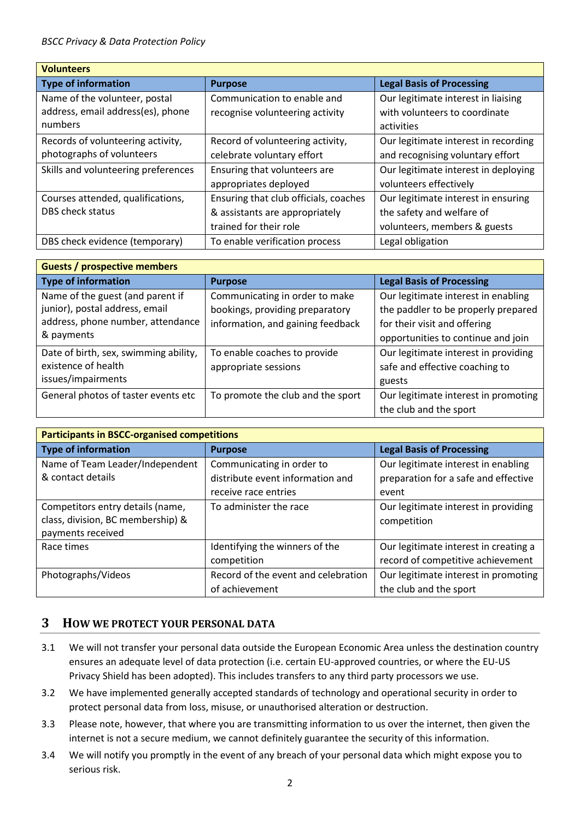| <b>Volunteers</b>                   |                                       |                                      |  |  |
|-------------------------------------|---------------------------------------|--------------------------------------|--|--|
| <b>Type of information</b>          | <b>Purpose</b>                        | <b>Legal Basis of Processing</b>     |  |  |
| Name of the volunteer, postal       | Communication to enable and           | Our legitimate interest in liaising  |  |  |
| address, email address(es), phone   | recognise volunteering activity       | with volunteers to coordinate        |  |  |
| numbers                             |                                       | activities                           |  |  |
| Records of volunteering activity,   | Record of volunteering activity,      | Our legitimate interest in recording |  |  |
| photographs of volunteers           | celebrate voluntary effort            | and recognising voluntary effort     |  |  |
| Skills and volunteering preferences | Ensuring that volunteers are          | Our legitimate interest in deploying |  |  |
|                                     | appropriates deployed                 | volunteers effectively               |  |  |
| Courses attended, qualifications,   | Ensuring that club officials, coaches | Our legitimate interest in ensuring  |  |  |
| <b>DBS check status</b>             | & assistants are appropriately        | the safety and welfare of            |  |  |
|                                     | trained for their role                | volunteers, members & guests         |  |  |
| DBS check evidence (temporary)      | To enable verification process        | Legal obligation                     |  |  |

| <b>Guests / prospective members</b>                                                                                   |                                                                                                        |                                                                                                                                                  |  |  |
|-----------------------------------------------------------------------------------------------------------------------|--------------------------------------------------------------------------------------------------------|--------------------------------------------------------------------------------------------------------------------------------------------------|--|--|
| <b>Type of information</b>                                                                                            | <b>Purpose</b>                                                                                         | <b>Legal Basis of Processing</b>                                                                                                                 |  |  |
| Name of the guest (and parent if<br>junior), postal address, email<br>address, phone number, attendance<br>& payments | Communicating in order to make<br>bookings, providing preparatory<br>information, and gaining feedback | Our legitimate interest in enabling<br>the paddler to be properly prepared<br>for their visit and offering<br>opportunities to continue and join |  |  |
| Date of birth, sex, swimming ability,<br>existence of health<br>issues/impairments                                    | To enable coaches to provide<br>appropriate sessions                                                   | Our legitimate interest in providing<br>safe and effective coaching to<br>guests                                                                 |  |  |
| General photos of taster events etc                                                                                   | To promote the club and the sport                                                                      | Our legitimate interest in promoting<br>the club and the sport                                                                                   |  |  |

| <b>Participants in BSCC-organised competitions</b> |                                     |                                       |  |  |
|----------------------------------------------------|-------------------------------------|---------------------------------------|--|--|
| <b>Type of information</b>                         | <b>Purpose</b>                      | <b>Legal Basis of Processing</b>      |  |  |
| Name of Team Leader/Independent                    | Communicating in order to           | Our legitimate interest in enabling   |  |  |
| & contact details                                  | distribute event information and    | preparation for a safe and effective  |  |  |
|                                                    | receive race entries                | event                                 |  |  |
| Competitors entry details (name,                   | To administer the race              | Our legitimate interest in providing  |  |  |
| class, division, BC membership) &                  |                                     | competition                           |  |  |
| payments received                                  |                                     |                                       |  |  |
| Race times                                         | Identifying the winners of the      | Our legitimate interest in creating a |  |  |
|                                                    | competition                         | record of competitive achievement     |  |  |
| Photographs/Videos                                 | Record of the event and celebration | Our legitimate interest in promoting  |  |  |
|                                                    | of achievement                      | the club and the sport                |  |  |

#### **3 HOW WE PROTECT YOUR PERSONAL DATA**

- 3.1 We will not transfer your personal data outside the European Economic Area unless the destination country ensures an adequate level of data protection (i.e. certain EU-approved countries, or where the EU-US Privacy Shield has been adopted). This includes transfers to any third party processors we use.
- 3.2 We have implemented generally accepted standards of technology and operational security in order to protect personal data from loss, misuse, or unauthorised alteration or destruction.
- 3.3 Please note, however, that where you are transmitting information to us over the internet, then given the internet is not a secure medium, we cannot definitely guarantee the security of this information.
- 3.4 We will notify you promptly in the event of any breach of your personal data which might expose you to serious risk.